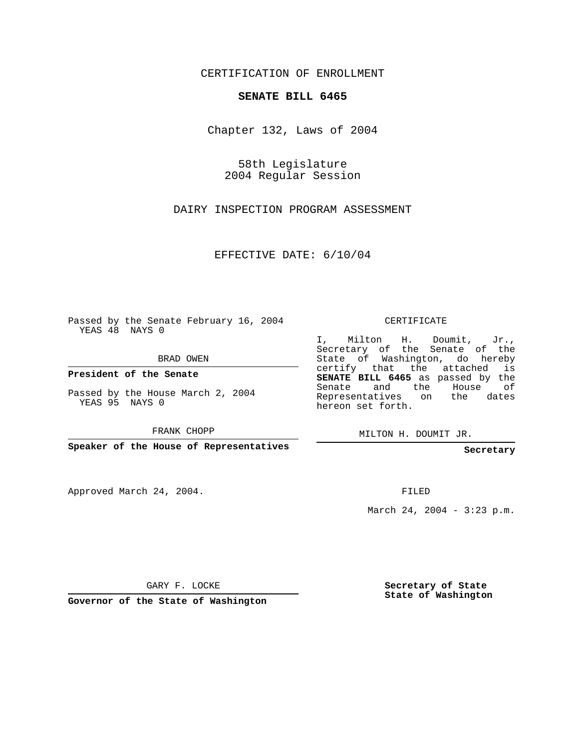CERTIFICATION OF ENROLLMENT

## **SENATE BILL 6465**

Chapter 132, Laws of 2004

58th Legislature 2004 Regular Session

DAIRY INSPECTION PROGRAM ASSESSMENT

EFFECTIVE DATE: 6/10/04

Passed by the Senate February 16, 2004 YEAS 48 NAYS 0

BRAD OWEN

**President of the Senate**

Passed by the House March 2, 2004 YEAS 95 NAYS 0

FRANK CHOPP

**Speaker of the House of Representatives**

Approved March 24, 2004.

CERTIFICATE

I, Milton H. Doumit, Jr., Secretary of the Senate of the State of Washington, do hereby certify that the attached is **SENATE BILL 6465** as passed by the Senate and the House of Representatives on the dates hereon set forth.

MILTON H. DOUMIT JR.

**Secretary**

FILED

March 24, 2004 - 3:23 p.m.

GARY F. LOCKE

**Governor of the State of Washington**

**Secretary of State State of Washington**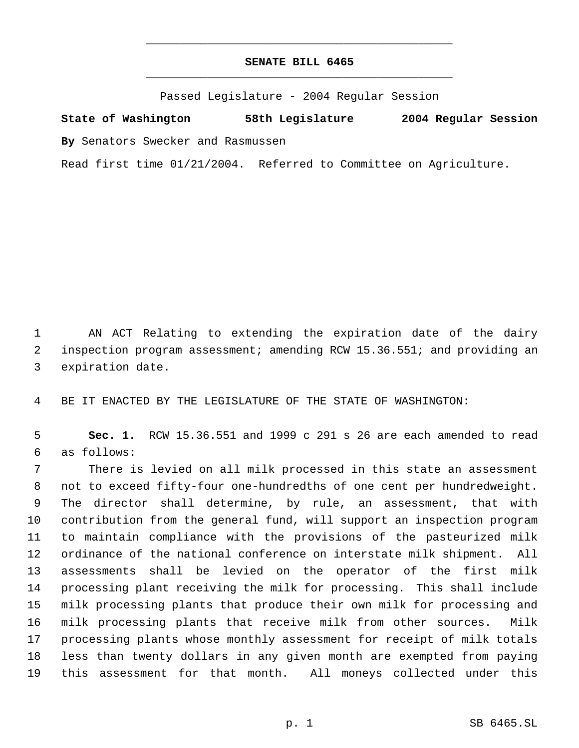## **SENATE BILL 6465** \_\_\_\_\_\_\_\_\_\_\_\_\_\_\_\_\_\_\_\_\_\_\_\_\_\_\_\_\_\_\_\_\_\_\_\_\_\_\_\_\_\_\_\_\_

\_\_\_\_\_\_\_\_\_\_\_\_\_\_\_\_\_\_\_\_\_\_\_\_\_\_\_\_\_\_\_\_\_\_\_\_\_\_\_\_\_\_\_\_\_

Passed Legislature - 2004 Regular Session

**State of Washington 58th Legislature 2004 Regular Session By** Senators Swecker and Rasmussen

Read first time 01/21/2004. Referred to Committee on Agriculture.

 AN ACT Relating to extending the expiration date of the dairy inspection program assessment; amending RCW 15.36.551; and providing an expiration date.

BE IT ENACTED BY THE LEGISLATURE OF THE STATE OF WASHINGTON:

 **Sec. 1.** RCW 15.36.551 and 1999 c 291 s 26 are each amended to read as follows:

 There is levied on all milk processed in this state an assessment not to exceed fifty-four one-hundredths of one cent per hundredweight. The director shall determine, by rule, an assessment, that with contribution from the general fund, will support an inspection program to maintain compliance with the provisions of the pasteurized milk ordinance of the national conference on interstate milk shipment. All assessments shall be levied on the operator of the first milk processing plant receiving the milk for processing. This shall include milk processing plants that produce their own milk for processing and milk processing plants that receive milk from other sources. Milk processing plants whose monthly assessment for receipt of milk totals less than twenty dollars in any given month are exempted from paying this assessment for that month. All moneys collected under this